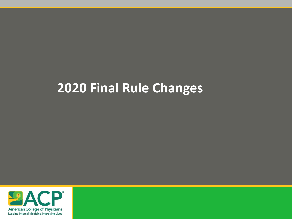#### **2020 Final Rule Changes**

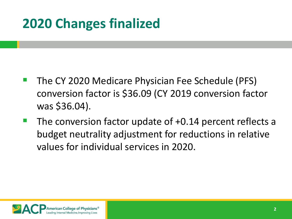## **2020 Changes finalized**

- The CY 2020 Medicare Physician Fee Schedule (PFS) conversion factor is \$36.09 (CY 2019 conversion factor was \$36.04).
- The conversion factor update of +0.14 percent reflects a budget neutrality adjustment for reductions in relative values for individual services in 2020.

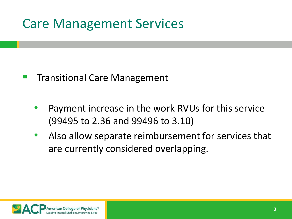#### Care Management Services

- Transitional Care Management
	- Payment increase in the work RVUs for this service (99495 to 2.36 and 99496 to 3.10)
	- Also allow separate reimbursement for services that are currently considered overlapping.

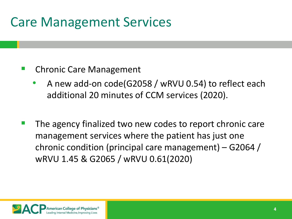### Care Management Services

#### Chronic Care Management

- A new add-on code(G2058 / wRVU 0.54) to reflect each additional 20 minutes of CCM services (2020).
- The agency finalized two new codes to report chronic care management services where the patient has just one chronic condition (principal care management) – G2064 / wRVU 1.45 & G2065 / wRVU 0.61(2020)

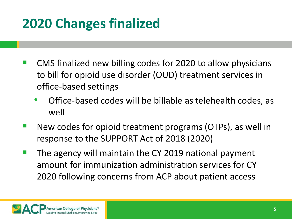# **2020 Changes finalized**

- CMS finalized new billing codes for 2020 to allow physicians to bill for opioid use disorder (OUD) treatment services in office-based settings
	- Office-based codes will be billable as telehealth codes, as well
- New codes for opioid treatment programs (OTPs), as well in response to the SUPPORT Act of 2018 (2020)
- The agency will maintain the CY 2019 national payment amount for immunization administration services for CY 2020 following concerns from ACP about patient access

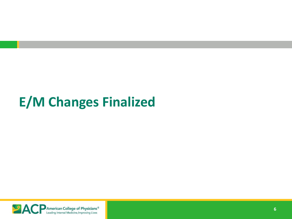#### **E/M Changes Finalized**

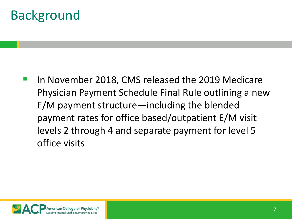### Background

 In November 2018, CMS released the 2019 Medicare Physician Payment Schedule Final Rule outlining a new E/M payment structure—including the blended payment rates for office based/outpatient E/M visit levels 2 through 4 and separate payment for level 5 office visits

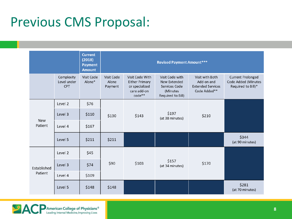#### Previous CMS Proposal:

|                        |                                         | <b>Current</b><br>(2018)<br><b>Payment</b><br><b>Amount</b> | <b>Revised Payment Amount***</b> |                                                                                     |                                                                                   |                                                                           |                                                                       |  |
|------------------------|-----------------------------------------|-------------------------------------------------------------|----------------------------------|-------------------------------------------------------------------------------------|-----------------------------------------------------------------------------------|---------------------------------------------------------------------------|-----------------------------------------------------------------------|--|
|                        | Complexity<br>Level under<br><b>CPT</b> | Visit Code<br>Alone*                                        | Visit Code<br>Alone<br>Payment   | Visit Code With<br><b>Either Primary</b><br>or specialized<br>care add-on<br>code** | Visit Code with<br>New Extended<br>Services Code<br>(Minutes<br>Required to Bill) | Visit with Both<br>Add-on and<br><b>Extended Services</b><br>Code Added** | <b>Current Prolonged</b><br>Code Added (Minutes<br>Required to Bill)* |  |
| <b>New</b><br>Patient  | Level 2                                 | \$76                                                        | \$130                            | \$143                                                                               | \$197<br>(at 38 minutes)                                                          | \$210                                                                     |                                                                       |  |
|                        | Level 3                                 | \$110                                                       |                                  |                                                                                     |                                                                                   |                                                                           |                                                                       |  |
|                        | Level 4                                 | \$167                                                       |                                  |                                                                                     |                                                                                   |                                                                           |                                                                       |  |
|                        | Level 5                                 | \$211                                                       | \$211                            |                                                                                     |                                                                                   |                                                                           | \$344<br>(at 90 minutes)                                              |  |
| Established<br>Patient | Level 2                                 | \$45                                                        | \$90                             | \$103                                                                               | \$157<br>(at 34 minutes)                                                          | \$170                                                                     |                                                                       |  |
|                        | Level 3                                 | \$74                                                        |                                  |                                                                                     |                                                                                   |                                                                           |                                                                       |  |
|                        | Level 4                                 | \$109                                                       |                                  |                                                                                     |                                                                                   |                                                                           |                                                                       |  |
|                        | Level 5                                 | \$148                                                       | \$148                            |                                                                                     |                                                                                   |                                                                           | \$281<br>(at 70 minutes)                                              |  |

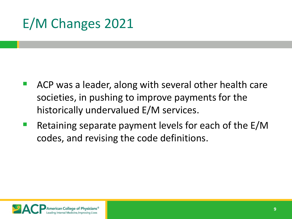# E/M Changes 2021

- ACP was a leader, along with several other health care societies, in pushing to improve payments for the historically undervalued E/M services.
- Retaining separate payment levels for each of the E/M codes, and revising the code definitions.

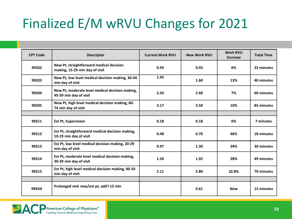# Finalized E/M wRVU Changes for 2021

| <b>CPT Code</b> | <b>Descriptor</b>                                                          | <b>Current Work RVU</b> | <b>New Work RVU</b> | <b>Work RVU</b><br><b>Increase</b> | <b>Total Time</b> |
|-----------------|----------------------------------------------------------------------------|-------------------------|---------------------|------------------------------------|-------------------|
| 99202           | New Pt, straightforward medical decision<br>making, 15-29 min day of visit | 0.93                    | 0.93                | 0%                                 | 22 minutes        |
| 99203           | New Pt, low level medical decision making, 30-44<br>min day of visit       | 1.42                    | 1.60                | 13%                                | 40 minutes        |
| 99204           | New Pt, moderate level medical decision making,<br>45-59 min day of visit  | 2.43                    | 2.60                | 7%                                 | 60 minutes        |
| 99205           | New Pt, high level medical decision making, 60-<br>74 min day of visit     | 3.17                    | 3.50                | 10%                                | 85 minutes        |
|                 |                                                                            |                         |                     |                                    |                   |
| 99211           | <b>Est Pt, Supervision</b>                                                 | 0.18                    | 0.18                | 0%                                 | 7 minutes         |
| 99212           | Est Pt, straightforward medical decision making,<br>10-19 min day of visit | 0.48                    | 0.70                | 46%                                | 18 minutes        |
| 99213           | Est Pt, low level medical decision making, 20-29<br>min day of visit       | 0.97                    | 1.30                | 34%                                | 30 minutes        |
| 99214           | Est Pt, moderate level medical decision making,<br>30-39 min day of visit  | 1.50                    | 1.92                | 28%                                | 49 minutes        |
| 99215           | Est Pt, high level medical decision making, 40-54<br>min day of visit      | 2.11                    | 2.80                | 32.8%                              | 70 minutes        |
|                 |                                                                            |                         |                     |                                    |                   |
| <b>99XXX</b>    | Prolonged visit new/est pt, add'l 15 min                                   |                         | 0.61                | <b>New</b>                         | 15 minutes        |